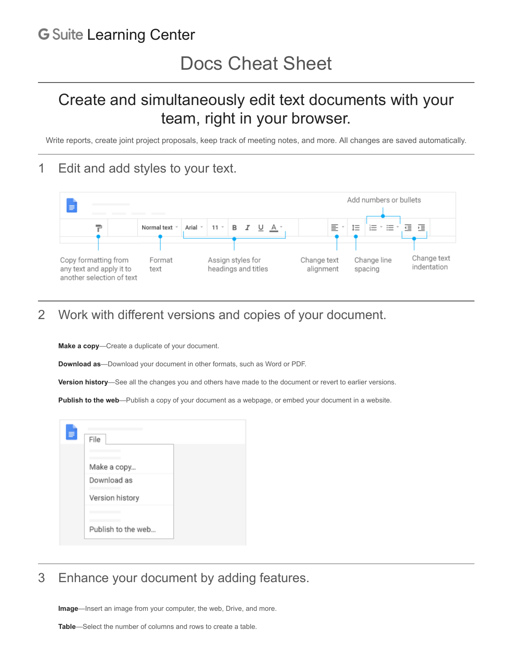## **G** Suite [Learning Center](https://gsuite.google.com/learning-center/)

## Create and simultaneously edit text documents with your team, right in your browser.

Write reports, create joint project proposals, keep track of meeting notes, and more. All changes are saved automatically.

## 1 Edit and add styles to your text.



## 2 Work with different versions and copies of your document.

**Make a copy**—Create a duplicate of your document.

**Download as**—Download your document in other formats, such as Word or PDF.

**Version history**—See all the changes you and others have made to the document or revert to earlier versions.

**Publish to the web**—Publish a copy of your document as a webpage, or embed your document in a website.



3 Enhance your document by adding features.

**Image**—Insert an image from your computer, the web, Drive, and more.